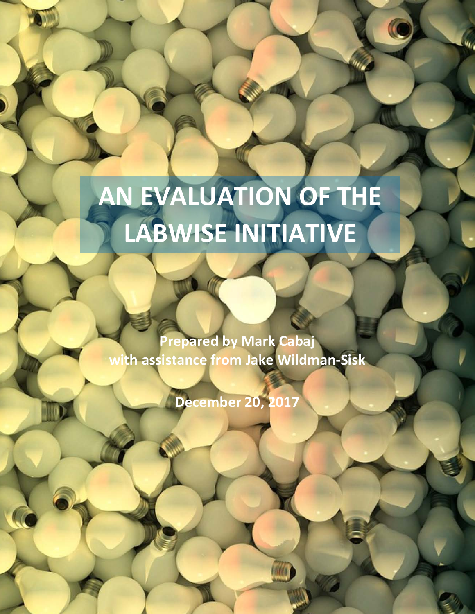**AN EVALUATION OF THE LABWISE INITIATIVE**

**Prepared by Mark Cabaj with assistance from Jake Wildman-Sisk**

**December 20, 2017**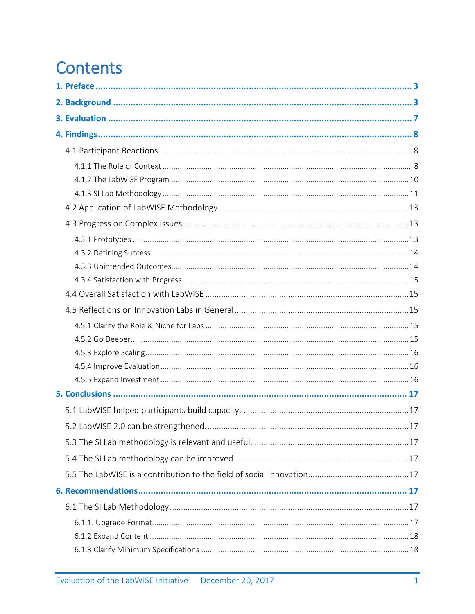# **Contents**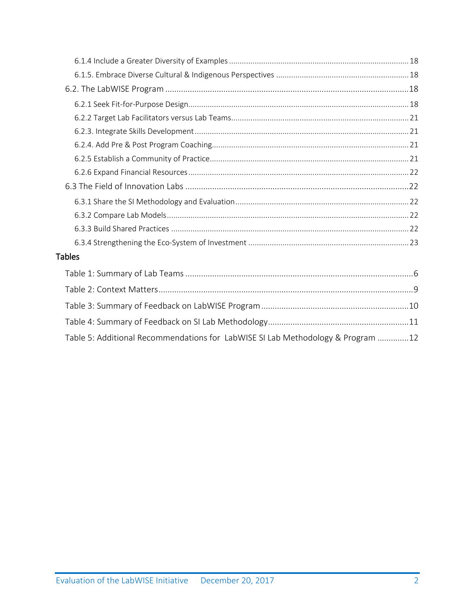| <b>Tables</b>                                                                   |
|---------------------------------------------------------------------------------|
|                                                                                 |
|                                                                                 |
|                                                                                 |
|                                                                                 |
| Table 5: Additional Recommendations for LabWISE SI Lab Methodology & Program 12 |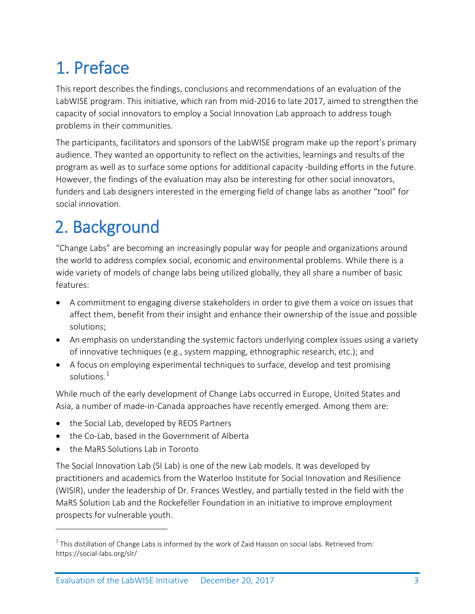<span id="page-3-0"></span>1. Preface<br>This report describes the findings, conclusions and recommendations of an evaluation of the LabWISE program. This initiative, which ran from mid-2016 to late 2017, aimed to strengthen the capacity of social innovators to employ a Social Innovation Lab approach to address tough problems in their communities.

The participants, facilitators and sponsors of the LabWISE program make up the report's primary audience. They wanted an opportunity to reflect on the activities, learnings and results of the program as well as to surface some options for additional capacity -building efforts in the future. However, the findings of the evaluation may also be interesting for other social innovators, funders and Lab designers interested in the emerging field of change labs as another "tool" for social innovation.

<span id="page-3-1"></span>2. Background<br>
"Change Labs" are becoming an increasingly popular way for people and organizations around the world to address complex social, economic and environmental problems. While there is a wide variety of models of change labs being utilized globally, they all share a number of basic features:

- A commitment to engaging diverse stakeholders in order to give them a voice on issues that affect them, benefit from their insight and enhance their ownership of the issue and possible solutions;
- An emphasis on understanding the systemic factors underlying complex issues using a variety of innovative techniques (e.g., system mapping, ethnographic research, etc.); and
- A focus on employing experimental techniques to surface, develop and test promising solutions. $^1$  $^1$

While much of the early development of Change Labs occurred in Europe, United States and Asia, a number of made-in-Canada approaches have recently emerged. Among them are:

- the Social Lab, developed by REOS Partners
- the Co-Lab, based in the Government of Alberta
- the MaRS Solutions Lab in Toronto

 $\overline{a}$ 

The Social Innovation Lab (SI Lab) is one of the new Lab models. It was developed by practitioners and academics from the Waterloo Institute for Social Innovation and Resilience (WISIR), under the leadership of Dr. Frances Westley, and partially tested in the field with the MaRS Solution Lab and the Rockefeller Foundation in an initiative to improve employment prospects for vulnerable youth.

<span id="page-3-2"></span> $1$  This distillation of Change Labs is informed by the work of Zaid Hasson on social labs. Retrieved from: https://social-labs.org/slr/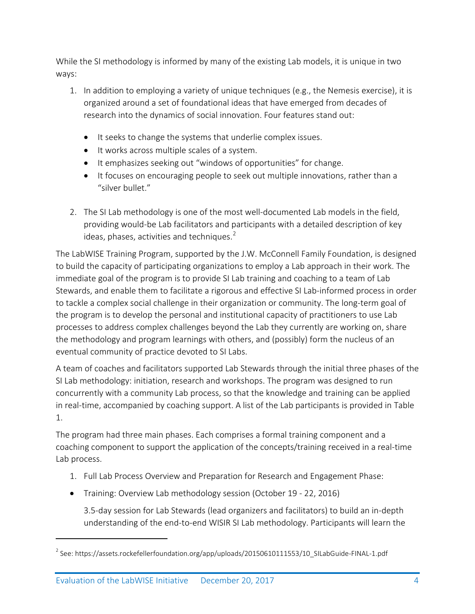While the SI methodology is informed by many of the existing Lab models, it is unique in two ways:

- 1. In addition to employing a variety of unique techniques (e.g., the Nemesis exercise), it is organized around a set of foundational ideas that have emerged from decades of research into the dynamics of social innovation. Four features stand out:
	- It seeks to change the systems that underlie complex issues.
	- It works across multiple scales of a system.
	- It emphasizes seeking out "windows of opportunities" for change.
	- It focuses on encouraging people to seek out multiple innovations, rather than a "silver bullet."
- 2. The SI Lab methodology is one of the most well-documented Lab models in the field, providing would-be Lab facilitators and participants with a detailed description of key ideas, phases, activities and techniques. $2^2$  $2^2$

The LabWISE Training Program, supported by the J.W. McConnell Family Foundation, is designed to build the capacity of participating organizations to employ a Lab approach in their work. The immediate goal of the program is to provide SI Lab training and coaching to a team of Lab Stewards, and enable them to facilitate a rigorous and effective SI Lab-informed process in order to tackle a complex social challenge in their organization or community. The long-term goal of the program is to develop the personal and institutional capacity of practitioners to use Lab processes to address complex challenges beyond the Lab they currently are working on, share the methodology and program learnings with others, and (possibly) form the nucleus of an eventual community of practice devoted to SI Labs.

A team of coaches and facilitators supported Lab Stewards through the initial three phases of the SI Lab methodology: initiation, research and workshops. The program was designed to run concurrently with a community Lab process, so that the knowledge and training can be applied in real-time, accompanied by coaching support. A list of the Lab participants is provided in Table 1.

The program had three main phases. Each comprises a formal training component and a coaching component to support the application of the concepts/training received in a real-time Lab process.

- 1. Full Lab Process Overview and Preparation for Research and Engagement Phase:
- Training: Overview Lab methodology session (October 19 22, 2016)

3.5-day session for Lab Stewards (lead organizers and facilitators) to build an in-depth understanding of the end-to-end WISIR SI Lab methodology. Participants will learn the

 $\overline{a}$ 

<span id="page-4-0"></span> $^{2}$  See: https://assets.rockefellerfoundation.org/app/uploads/20150610111553/10\_SILabGuide-FINAL-1.pdf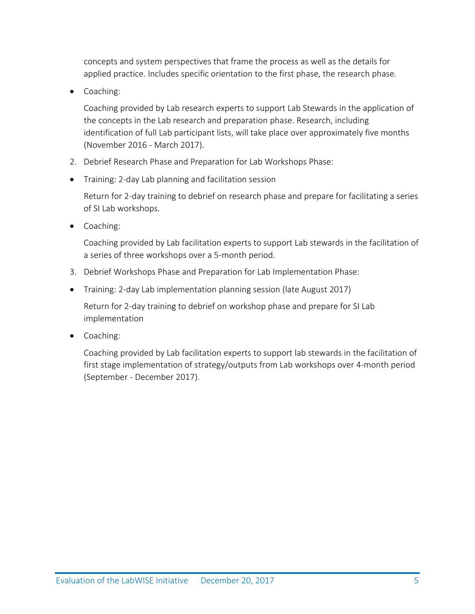concepts and system perspectives that frame the process as well as the details for applied practice. Includes specific orientation to the first phase, the research phase.

• Coaching:

Coaching provided by Lab research experts to support Lab Stewards in the application of the concepts in the Lab research and preparation phase. Research, including identification of full Lab participant lists, will take place over approximately five months (November 2016 - March 2017).

- 2. Debrief Research Phase and Preparation for Lab Workshops Phase:
- Training: 2-day Lab planning and facilitation session

Return for 2-day training to debrief on research phase and prepare for facilitating a series of SI Lab workshops.

• Coaching:

Coaching provided by Lab facilitation experts to support Lab stewards in the facilitation of a series of three workshops over a 5-month period.

- 3. Debrief Workshops Phase and Preparation for Lab Implementation Phase:
- Training: 2-day Lab implementation planning session (late August 2017)

Return for 2-day training to debrief on workshop phase and prepare for SI Lab implementation

• Coaching:

Coaching provided by Lab facilitation experts to support lab stewards in the facilitation of first stage implementation of strategy/outputs from Lab workshops over 4-month period (September - December 2017).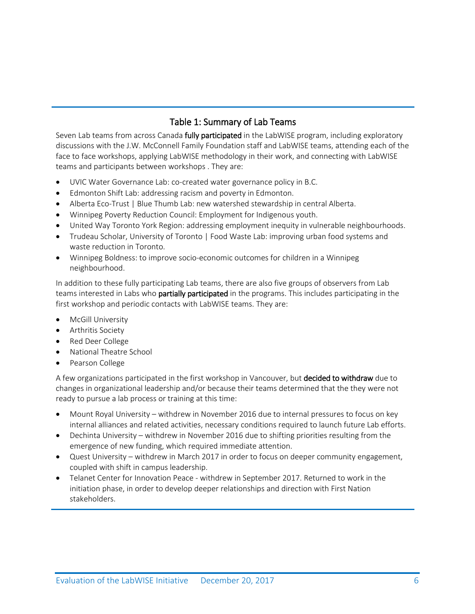# Table 1: Summary of Lab Teams

<span id="page-6-0"></span>Seven Lab teams from across Canada fully participated in the LabWISE program, including exploratory discussions with the J.W. McConnell Family Foundation staff and LabWISE teams, attending each of the face to face workshops, applying LabWISE methodology in their work, and connecting with LabWISE teams and participants between workshops . They are:

- UVIC Water Governance Lab: co-created water governance policy in B.C.
- Edmonton Shift Lab: addressing racism and poverty in Edmonton.
- Alberta Eco-Trust | Blue Thumb Lab: new watershed stewardship in central Alberta.
- Winnipeg Poverty Reduction Council: Employment for Indigenous youth.
- United Way Toronto York Region: addressing employment inequity in vulnerable neighbourhoods.
- Trudeau Scholar, University of Toronto | Food Waste Lab: improving urban food systems and waste reduction in Toronto.
- Winnipeg Boldness: to improve socio-economic outcomes for children in a Winnipeg neighbourhood.

In addition to these fully participating Lab teams, there are also five groups of observers from Lab teams interested in Labs who partially participated in the programs. This includes participating in the first workshop and periodic contacts with LabWISE teams. They are:

- McGill University
- Arthritis Society
- Red Deer College
- National Theatre School
- Pearson College

A few organizations participated in the first workshop in Vancouver, but **decided to withdraw** due to changes in organizational leadership and/or because their teams determined that the they were not ready to pursue a lab process or training at this time:

- Mount Royal University withdrew in November 2016 due to internal pressures to focus on key internal alliances and related activities, necessary conditions required to launch future Lab efforts.
- Dechinta University withdrew in November 2016 due to shifting priorities resulting from the emergence of new funding, which required immediate attention.
- Quest University withdrew in March 2017 in order to focus on deeper community engagement, coupled with shift in campus leadership.
- Telanet Center for Innovation Peace withdrew in September 2017. Returned to work in the initiation phase, in order to develop deeper relationships and direction with First Nation stakeholders.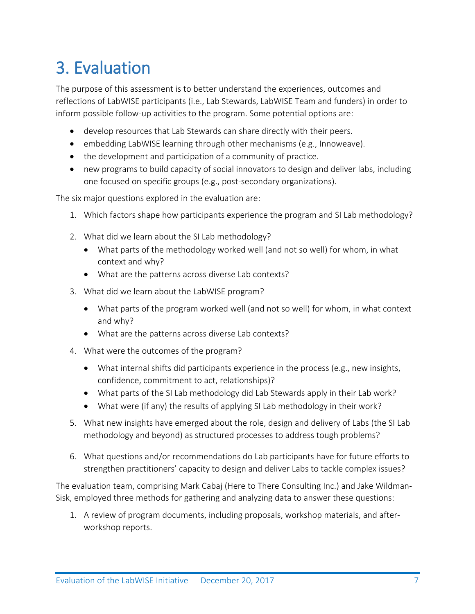<span id="page-7-0"></span>**3. Evaluation**<br>The purpose of this assessment is to better understand the experiences, outcomes and reflections of LabWISE participants (i.e., Lab Stewards, LabWISE Team and funders) in order to inform possible follow-up activities to the program. Some potential options are:

- develop resources that Lab Stewards can share directly with their peers.
- embedding LabWISE learning through other mechanisms (e.g., Innoweave).
- the development and participation of a community of practice.
- new programs to build capacity of social innovators to design and deliver labs, including one focused on specific groups (e.g., post-secondary organizations).

The six major questions explored in the evaluation are:

- 1. Which factors shape how participants experience the program and SI Lab methodology?
- 2. What did we learn about the SI Lab methodology?
	- What parts of the methodology worked well (and not so well) for whom, in what context and why?
	- What are the patterns across diverse Lab contexts?
- 3. What did we learn about the LabWISE program?
	- What parts of the program worked well (and not so well) for whom, in what context and why?
	- What are the patterns across diverse Lab contexts?
- 4. What were the outcomes of the program?
	- What internal shifts did participants experience in the process (e.g., new insights, confidence, commitment to act, relationships)?
	- What parts of the SI Lab methodology did Lab Stewards apply in their Lab work?
	- What were (if any) the results of applying SI Lab methodology in their work?
- 5. What new insights have emerged about the role, design and delivery of Labs (the SI Lab methodology and beyond) as structured processes to address tough problems?
- 6. What questions and/or recommendations do Lab participants have for future efforts to strengthen practitioners' capacity to design and deliver Labs to tackle complex issues?

The evaluation team, comprising Mark Cabaj (Here to There Consulting Inc.) and Jake Wildman-Sisk, employed three methods for gathering and analyzing data to answer these questions:

1. A review of program documents, including proposals, workshop materials, and afterworkshop reports.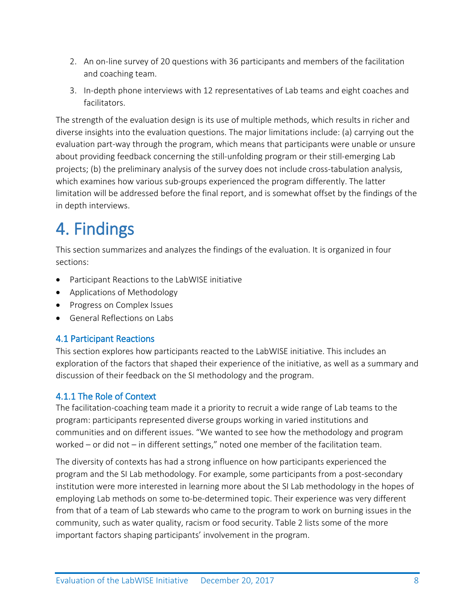- 2. An on-line survey of 20 questions with 36 participants and members of the facilitation and coaching team.
- 3. In-depth phone interviews with 12 representatives of Lab teams and eight coaches and facilitators.

The strength of the evaluation design is its use of multiple methods, which results in richer and diverse insights into the evaluation questions. The major limitations include: (a) carrying out the evaluation part-way through the program, which means that participants were unable or unsure about providing feedback concerning the still-unfolding program or their still-emerging Lab projects; (b) the preliminary analysis of the survey does not include cross-tabulation analysis, which examines how various sub-groups experienced the program differently. The latter limitation will be addressed before the final report, and is somewhat offset by the findings of the in depth interviews.

<span id="page-8-0"></span>4. Findings<br>This section summarizes and analyzes the findings of the evaluation. It is organized in four sections:

- Participant Reactions to the LabWISE initiative
- Applications of Methodology
- Progress on Complex Issues
- General Reflections on Labs

# <span id="page-8-1"></span>4.1 Participant Reactions

This section explores how participants reacted to the LabWISE initiative. This includes an exploration of the factors that shaped their experience of the initiative, as well as a summary and discussion of their feedback on the SI methodology and the program.

# <span id="page-8-2"></span>4.1.1 The Role of Context

The facilitation-coaching team made it a priority to recruit a wide range of Lab teams to the program: participants represented diverse groups working in varied institutions and communities and on different issues. "We wanted to see how the methodology and program worked – or did not – in different settings," noted one member of the facilitation team.

The diversity of contexts has had a strong influence on how participants experienced the program and the SI Lab methodology. For example, some participants from a post-secondary institution were more interested in learning more about the SI Lab methodology in the hopes of employing Lab methods on some to-be-determined topic. Their experience was very different from that of a team of Lab stewards who came to the program to work on burning issues in the community, such as water quality, racism or food security. Table 2 lists some of the more important factors shaping participants' involvement in the program.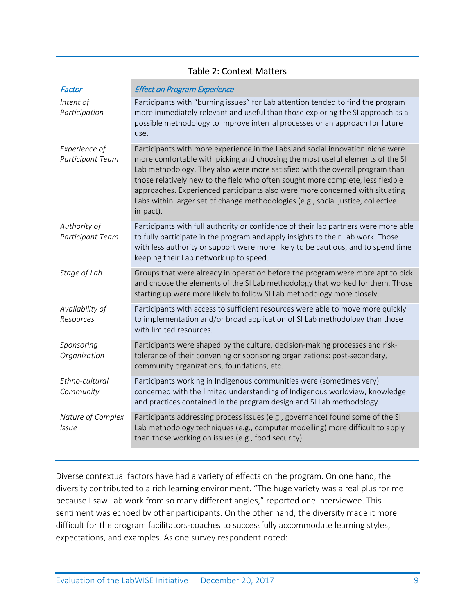<span id="page-9-0"></span>

| Factor                            | <b>Effect on Program Experience</b>                                                                                                                                                                                                                                                                                                                                                                                                                                                                                |
|-----------------------------------|--------------------------------------------------------------------------------------------------------------------------------------------------------------------------------------------------------------------------------------------------------------------------------------------------------------------------------------------------------------------------------------------------------------------------------------------------------------------------------------------------------------------|
| Intent of<br>Participation        | Participants with "burning issues" for Lab attention tended to find the program<br>more immediately relevant and useful than those exploring the SI approach as a<br>possible methodology to improve internal processes or an approach for future<br>use.                                                                                                                                                                                                                                                          |
| Experience of<br>Participant Team | Participants with more experience in the Labs and social innovation niche were<br>more comfortable with picking and choosing the most useful elements of the SI<br>Lab methodology. They also were more satisfied with the overall program than<br>those relatively new to the field who often sought more complete, less flexible<br>approaches. Experienced participants also were more concerned with situating<br>Labs within larger set of change methodologies (e.g., social justice, collective<br>impact). |
| Authority of<br>Participant Team  | Participants with full authority or confidence of their lab partners were more able<br>to fully participate in the program and apply insights to their Lab work. Those<br>with less authority or support were more likely to be cautious, and to spend time<br>keeping their Lab network up to speed.                                                                                                                                                                                                              |
| Stage of Lab                      | Groups that were already in operation before the program were more apt to pick<br>and choose the elements of the SI Lab methodology that worked for them. Those<br>starting up were more likely to follow SI Lab methodology more closely.                                                                                                                                                                                                                                                                         |
| Availability of<br>Resources      | Participants with access to sufficient resources were able to move more quickly<br>to implementation and/or broad application of SI Lab methodology than those<br>with limited resources.                                                                                                                                                                                                                                                                                                                          |
| Sponsoring<br>Organization        | Participants were shaped by the culture, decision-making processes and risk-<br>tolerance of their convening or sponsoring organizations: post-secondary,<br>community organizations, foundations, etc.                                                                                                                                                                                                                                                                                                            |
| Ethno-cultural<br>Community       | Participants working in Indigenous communities were (sometimes very)<br>concerned with the limited understanding of Indigenous worldview, knowledge<br>and practices contained in the program design and SI Lab methodology.                                                                                                                                                                                                                                                                                       |
| Nature of Complex<br><i>Issue</i> | Participants addressing process issues (e.g., governance) found some of the SI<br>Lab methodology techniques (e.g., computer modelling) more difficult to apply<br>than those working on issues (e.g., food security).                                                                                                                                                                                                                                                                                             |

# Table 2: Context Matters

Diverse contextual factors have had a variety of effects on the program. On one hand, the diversity contributed to a rich learning environment. "The huge variety was a real plus for me because I saw Lab work from so many different angles," reported one interviewee. This sentiment was echoed by other participants. On the other hand, the diversity made it more difficult for the program facilitators-coaches to successfully accommodate learning styles, expectations, and examples. As one survey respondent noted: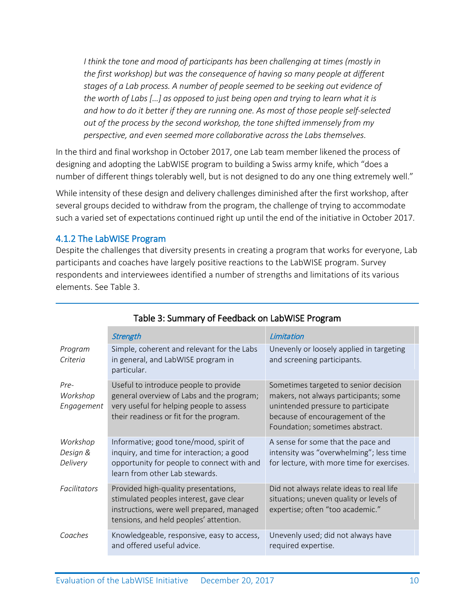*I think the tone and mood of participants has been challenging at times (mostly in the first workshop) but was the consequence of having so many people at different stages of a Lab process. A number of people seemed to be seeking out evidence of the worth of Labs […] as opposed to just being open and trying to learn what it is and how to do it better if they are running one. As most of those people self-selected out of the process by the second workshop, the tone shifted immensely from my perspective, and even seemed more collaborative across the Labs themselves.*

In the third and final workshop in October 2017, one Lab team member likened the process of designing and adopting the LabWISE program to building a Swiss army knife, which "does a number of different things tolerably well, but is not designed to do any one thing extremely well."

While intensity of these design and delivery challenges diminished after the first workshop, after several groups decided to withdraw from the program, the challenge of trying to accommodate such a varied set of expectations continued right up until the end of the initiative in October 2017.

### <span id="page-10-0"></span>4.1.2 The LabWISE Program

Despite the challenges that diversity presents in creating a program that works for everyone, Lab participants and coaches have largely positive reactions to the LabWISE program. Survey respondents and interviewees identified a number of strengths and limitations of its various elements. See Table 3.

<span id="page-10-1"></span>

|                                  | <b>Strength</b>                                                                                                                                                           | Limitation                                                                                                                                                                                 |
|----------------------------------|---------------------------------------------------------------------------------------------------------------------------------------------------------------------------|--------------------------------------------------------------------------------------------------------------------------------------------------------------------------------------------|
| Program<br>Criteria              | Simple, coherent and relevant for the Labs<br>in general, and LabWISE program in<br>particular.                                                                           | Unevenly or loosely applied in targeting<br>and screening participants.                                                                                                                    |
| Pre-<br>Workshop<br>Engagement   | Useful to introduce people to provide<br>general overview of Labs and the program;<br>very useful for helping people to assess<br>their readiness or fit for the program. | Sometimes targeted to senior decision<br>makers, not always participants; some<br>unintended pressure to participate<br>because of encouragement of the<br>Foundation; sometimes abstract. |
| Workshop<br>Design &<br>Delivery | Informative; good tone/mood, spirit of<br>inquiry, and time for interaction; a good<br>opportunity for people to connect with and<br>learn from other Lab stewards.       | A sense for some that the pace and<br>intensity was "overwhelming"; less time<br>for lecture, with more time for exercises.                                                                |
| <b>Facilitators</b>              | Provided high-quality presentations,<br>stimulated peoples interest, gave clear<br>instructions, were well prepared, managed<br>tensions, and held peoples' attention.    | Did not always relate ideas to real life<br>situations; uneven quality or levels of<br>expertise; often "too academic."                                                                    |
| Coaches                          | Knowledgeable, responsive, easy to access,<br>and offered useful advice.                                                                                                  | Unevenly used; did not always have<br>required expertise.                                                                                                                                  |

# Table 3: Summary of Feedback on LabWISE Program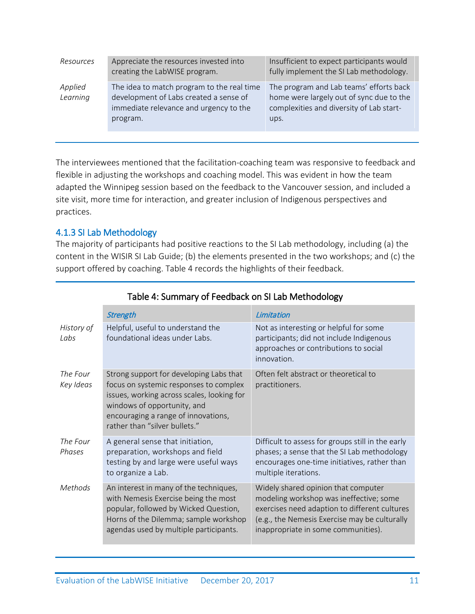| Resources           | Appreciate the resources invested into<br>creating the LabWISE program.                                                                    | Insufficient to expect participants would<br>fully implement the SI Lab methodology.                                                    |
|---------------------|--------------------------------------------------------------------------------------------------------------------------------------------|-----------------------------------------------------------------------------------------------------------------------------------------|
| Applied<br>Learning | The idea to match program to the real time<br>development of Labs created a sense of<br>immediate relevance and urgency to the<br>program. | The program and Lab teams' efforts back<br>home were largely out of sync due to the<br>complexities and diversity of Lab start-<br>ups. |

The interviewees mentioned that the facilitation-coaching team was responsive to feedback and flexible in adjusting the workshops and coaching model. This was evident in how the team adapted the Winnipeg session based on the feedback to the Vancouver session, and included a site visit, more time for interaction, and greater inclusion of Indigenous perspectives and practices.

### <span id="page-11-0"></span>4.1.3 SI Lab Methodology

The majority of participants had positive reactions to the SI Lab methodology, including (a) the content in the WISIR SI Lab Guide; (b) the elements presented in the two workshops; and (c) the support offered by coaching. Table 4 records the highlights of their feedback.

<span id="page-11-1"></span>

|                       | Strength                                                                                                                                                                                                                               | Limitation                                                                                                                                                                                                              |
|-----------------------|----------------------------------------------------------------------------------------------------------------------------------------------------------------------------------------------------------------------------------------|-------------------------------------------------------------------------------------------------------------------------------------------------------------------------------------------------------------------------|
| History of<br>Labs    | Helpful, useful to understand the<br>foundational ideas under Labs.                                                                                                                                                                    | Not as interesting or helpful for some<br>participants; did not include Indigenous<br>approaches or contributions to social<br>innovation.                                                                              |
| The Four<br>Key Ideas | Strong support for developing Labs that<br>focus on systemic responses to complex<br>issues, working across scales, looking for<br>windows of opportunity, and<br>encouraging a range of innovations,<br>rather than "silver bullets." | Often felt abstract or theoretical to<br>practitioners.                                                                                                                                                                 |
| The Four<br>Phases    | A general sense that initiation,<br>preparation, workshops and field<br>testing by and large were useful ways<br>to organize a Lab.                                                                                                    | Difficult to assess for groups still in the early<br>phases; a sense that the SI Lab methodology<br>encourages one-time initiatives, rather than<br>multiple iterations.                                                |
| Methods               | An interest in many of the techniques,<br>with Nemesis Exercise being the most<br>popular, followed by Wicked Question,<br>Horns of the Dilemma; sample workshop<br>agendas used by multiple participants.                             | Widely shared opinion that computer<br>modeling workshop was ineffective; some<br>exercises need adaption to different cultures<br>(e.g., the Nemesis Exercise may be culturally<br>inappropriate in some communities). |

# Table 4: Summary of Feedback on SI Lab Methodology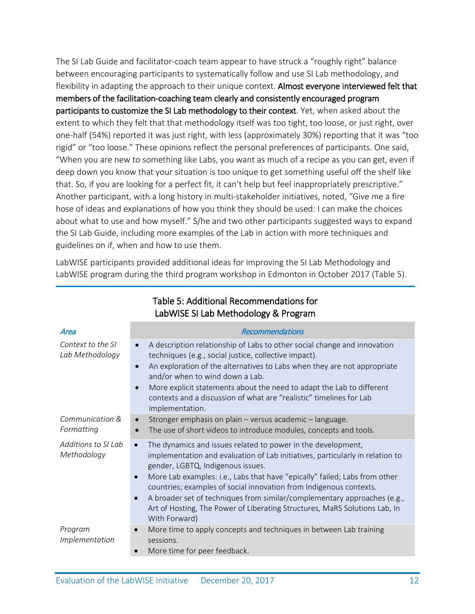The SI Lab Guide and facilitator-coach team appear to have struck a "roughly right" balance between encouraging participants to systematically follow and use SI Lab methodology, and flexibility in adapting the approach to their unique context. Almost everyone interviewed felt that members of the facilitation-coaching team clearly and consistently encouraged program participants to customize the SI Lab methodology to their context. Yet, when asked about the extent to which they felt that that methodology itself was too tight, too loose, or just right, over one-half (54%) reported it was just right, with less (approximately 30%) reporting that it was "too rigid" or "too loose." These opinions reflect the personal preferences of participants. One said, "When you are new to something like Labs, you want as much of a recipe as you can get, even if deep down you know that your situation is too unique to get something useful off the shelf like that. So, if you are looking for a perfect fit, it can't help but feel inappropriately prescriptive." Another participant, with a long history in multi-stakeholder initiatives, noted, "Give me a fire hose of ideas and explanations of how you think they should be used: I can make the choices about what to use and how myself." S/he and two other participants suggested ways to expand the SI Lab Guide, including more examples of the Lab in action with more techniques and guidelines on if, when and how to use them.

<span id="page-12-0"></span>LabWISE participants provided additional ideas for improving the SI Lab Methodology and LabWISE program during the third program workshop in Edmonton in October 2017 (Table 5).

| Area                                 | Recommendations                                                                                                                                                                                                                                                                                                                                                                                                                                                                                                                                          |
|--------------------------------------|----------------------------------------------------------------------------------------------------------------------------------------------------------------------------------------------------------------------------------------------------------------------------------------------------------------------------------------------------------------------------------------------------------------------------------------------------------------------------------------------------------------------------------------------------------|
| Context to the SI<br>Lab Methodology | A description relationship of Labs to other social change and innovation<br>techniques (e.g., social justice, collective impact).<br>An exploration of the alternatives to Labs when they are not appropriate<br>$\bullet$<br>and/or when to wind down a Lab.<br>More explicit statements about the need to adapt the Lab to different<br>$\bullet$<br>contexts and a discussion of what are "realistic" timelines for Lab<br>implementation.                                                                                                            |
| Communication &<br>Formatting        | Stronger emphasis on plain - versus academic - language.<br>The use of short videos to introduce modules, concepts and tools.                                                                                                                                                                                                                                                                                                                                                                                                                            |
| Additions to SI Lab<br>Methodology   | The dynamics and issues related to power in the development,<br>$\bullet$<br>implementation and evaluation of Lab initiatives, particularly in relation to<br>gender, LGBTQ, Indigenous issues.<br>More Lab examples: i.e., Labs that have "epically" failed; Labs from other<br>$\bullet$<br>countries; examples of social innovation from Indigenous contexts.<br>A broader set of techniques from similar/complementary approaches (e.g.,<br>$\bullet$<br>Art of Hosting, The Power of Liberating Structures, MaRS Solutions Lab, In<br>With Forward) |
| Program<br>Implementation            | More time to apply concepts and techniques in between Lab training<br>sessions.<br>More time for peer feedback.                                                                                                                                                                                                                                                                                                                                                                                                                                          |

#### Table 5: Additional Recommendations for LabWISE SI Lab Methodology & Program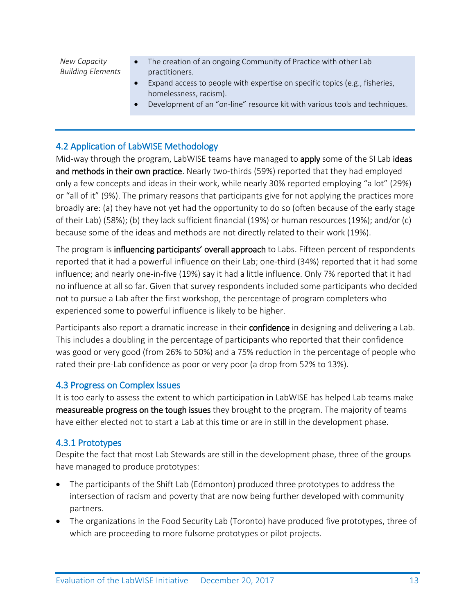*New Capacity Building Elements*

- The creation of an ongoing Community of Practice with other Lab practitioners.
- Expand access to people with expertise on specific topics (e.g., fisheries, homelessness, racism).
- Development of an "on-line" resource kit with various tools and techniques.

# <span id="page-13-0"></span>4.2 Application of LabWISE Methodology

Mid-way through the program, LabWISE teams have managed to **apply** some of the SI Lab ideas and methods in their own practice. Nearly two-thirds (59%) reported that they had employed only a few concepts and ideas in their work, while nearly 30% reported employing "a lot" (29%) or "all of it" (9%). The primary reasons that participants give for not applying the practices more broadly are: (a) they have not yet had the opportunity to do so (often because of the early stage of their Lab) (58%); (b) they lack sufficient financial (19%) or human resources (19%); and/or (c) because some of the ideas and methods are not directly related to their work (19%).

The program is **influencing participants' overall approach** to Labs. Fifteen percent of respondents reported that it had a powerful influence on their Lab; one-third (34%) reported that it had some influence; and nearly one-in-five (19%) say it had a little influence. Only 7% reported that it had no influence at all so far. Given that survey respondents included some participants who decided not to pursue a Lab after the first workshop, the percentage of program completers who experienced some to powerful influence is likely to be higher.

Participants also report a dramatic increase in their **confidence** in designing and delivering a Lab. This includes a doubling in the percentage of participants who reported that their confidence was good or very good (from 26% to 50%) and a 75% reduction in the percentage of people who rated their pre-Lab confidence as poor or very poor (a drop from 52% to 13%).

#### <span id="page-13-1"></span>4.3 Progress on Complex Issues

It is too early to assess the extent to which participation in LabWISE has helped Lab teams make measureable progress on the tough issues they brought to the program. The majority of teams have either elected not to start a Lab at this time or are in still in the development phase.

#### <span id="page-13-2"></span>4.3.1 Prototypes

Despite the fact that most Lab Stewards are still in the development phase, three of the groups have managed to produce prototypes:

- The participants of the Shift Lab (Edmonton) produced three prototypes to address the intersection of racism and poverty that are now being further developed with community partners.
- The organizations in the Food Security Lab (Toronto) have produced five prototypes, three of which are proceeding to more fulsome prototypes or pilot projects.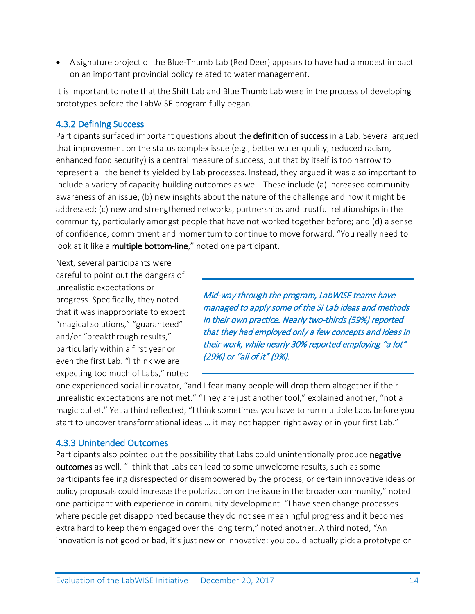• A signature project of the Blue-Thumb Lab (Red Deer) appears to have had a modest impact on an important provincial policy related to water management.

It is important to note that the Shift Lab and Blue Thumb Lab were in the process of developing prototypes before the LabWISE program fully began.

# <span id="page-14-0"></span>4.3.2 Defining Success

Participants surfaced important questions about the definition of success in a Lab. Several argued that improvement on the status complex issue (e.g., better water quality, reduced racism, enhanced food security) is a central measure of success, but that by itself is too narrow to represent all the benefits yielded by Lab processes. Instead, they argued it was also important to include a variety of capacity-building outcomes as well. These include (a) increased community awareness of an issue; (b) new insights about the nature of the challenge and how it might be addressed; (c) new and strengthened networks, partnerships and trustful relationships in the community, particularly amongst people that have not worked together before; and (d) a sense of confidence, commitment and momentum to continue to move forward. "You really need to look at it like a multiple bottom-line," noted one participant.

Next, several participants were careful to point out the dangers of unrealistic expectations or progress. Specifically, they noted that it was inappropriate to expect "magical solutions," "guaranteed" and/or "breakthrough results," particularly within a first year or even the first Lab. "I think we are expecting too much of Labs," noted

Mid-way through the program, LabWISE teams have managed to apply some of the SI Lab ideas and methods in their own practice. Nearly two-thirds (59%) reported that they had employed only a few concepts and ideas in their work, while nearly 30% reported employing "a lot" (29%) or "all of it" (9%).

one experienced social innovator, "and I fear many people will drop them altogether if their unrealistic expectations are not met." "They are just another tool," explained another, "not a magic bullet." Yet a third reflected, "I think sometimes you have to run multiple Labs before you start to uncover transformational ideas … it may not happen right away or in your first Lab."

# <span id="page-14-1"></span>4.3.3 Unintended Outcomes

Participants also pointed out the possibility that Labs could unintentionally produce negative outcomes as well. "I think that Labs can lead to some unwelcome results, such as some participants feeling disrespected or disempowered by the process, or certain innovative ideas or policy proposals could increase the polarization on the issue in the broader community," noted one participant with experience in community development. "I have seen change processes where people get disappointed because they do not see meaningful progress and it becomes extra hard to keep them engaged over the long term," noted another. A third noted, "An innovation is not good or bad, it's just new or innovative: you could actually pick a prototype or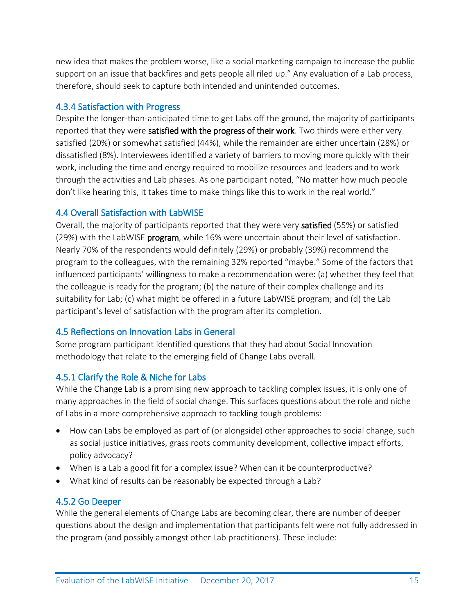new idea that makes the problem worse, like a social marketing campaign to increase the public support on an issue that backfires and gets people all riled up." Any evaluation of a Lab process, therefore, should seek to capture both intended and unintended outcomes.

#### <span id="page-15-0"></span>4.3.4 Satisfaction with Progress

Despite the longer-than-anticipated time to get Labs off the ground, the majority of participants reported that they were satisfied with the progress of their work. Two thirds were either very satisfied (20%) or somewhat satisfied (44%), while the remainder are either uncertain (28%) or dissatisfied (8%). Interviewees identified a variety of barriers to moving more quickly with their work, including the time and energy required to mobilize resources and leaders and to work through the activities and Lab phases. As one participant noted, "No matter how much people don't like hearing this, it takes time to make things like this to work in the real world."

### <span id="page-15-1"></span>4.4 Overall Satisfaction with LabWISE

Overall, the majority of participants reported that they were very satisfied (55%) or satisfied (29%) with the LabWISE **program**, while 16% were uncertain about their level of satisfaction. Nearly 70% of the respondents would definitely (29%) or probably (39%) recommend the program to the colleagues, with the remaining 32% reported "maybe." Some of the factors that influenced participants' willingness to make a recommendation were: (a) whether they feel that the colleague is ready for the program; (b) the nature of their complex challenge and its suitability for Lab; (c) what might be offered in a future LabWISE program; and (d) the Lab participant's level of satisfaction with the program after its completion.

# <span id="page-15-2"></span>4.5 Reflections on Innovation Labs in General

Some program participant identified questions that they had about Social Innovation methodology that relate to the emerging field of Change Labs overall.

# <span id="page-15-3"></span>4.5.1 Clarify the Role & Niche for Labs

While the Change Lab is a promising new approach to tackling complex issues, it is only one of many approaches in the field of social change. This surfaces questions about the role and niche of Labs in a more comprehensive approach to tackling tough problems:

- How can Labs be employed as part of (or alongside) other approaches to social change, such as social justice initiatives, grass roots community development, collective impact efforts, policy advocacy?
- When is a Lab a good fit for a complex issue? When can it be counterproductive?
- What kind of results can be reasonably be expected through a Lab?

#### <span id="page-15-4"></span>4.5.2 Go Deeper

While the general elements of Change Labs are becoming clear, there are number of deeper questions about the design and implementation that participants felt were not fully addressed in the program (and possibly amongst other Lab practitioners). These include: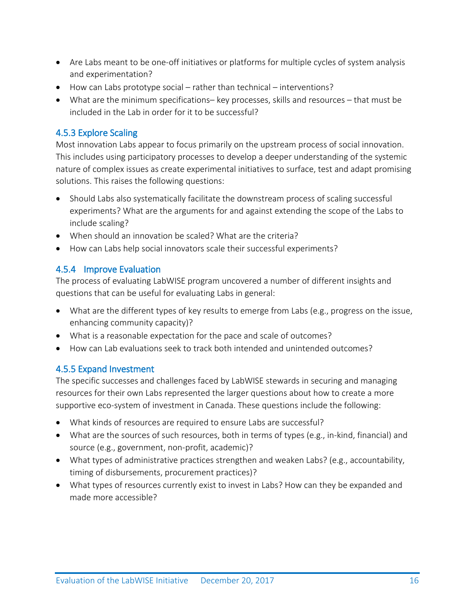- Are Labs meant to be one-off initiatives or platforms for multiple cycles of system analysis and experimentation?
- How can Labs prototype social rather than technical interventions?
- What are the minimum specifications– key processes, skills and resources that must be included in the Lab in order for it to be successful?

# <span id="page-16-0"></span>4.5.3 Explore Scaling

Most innovation Labs appear to focus primarily on the upstream process of social innovation. This includes using participatory processes to develop a deeper understanding of the systemic nature of complex issues as create experimental initiatives to surface, test and adapt promising solutions. This raises the following questions:

- Should Labs also systematically facilitate the downstream process of scaling successful experiments? What are the arguments for and against extending the scope of the Labs to include scaling?
- When should an innovation be scaled? What are the criteria?
- How can Labs help social innovators scale their successful experiments?

# <span id="page-16-1"></span>4.5.4 Improve Evaluation

The process of evaluating LabWISE program uncovered a number of different insights and questions that can be useful for evaluating Labs in general:

- What are the different types of key results to emerge from Labs (e.g., progress on the issue, enhancing community capacity)?
- What is a reasonable expectation for the pace and scale of outcomes?
- How can Lab evaluations seek to track both intended and unintended outcomes?

# <span id="page-16-2"></span>4.5.5 Expand Investment

The specific successes and challenges faced by LabWISE stewards in securing and managing resources for their own Labs represented the larger questions about how to create a more supportive eco-system of investment in Canada. These questions include the following:

- What kinds of resources are required to ensure Labs are successful?
- What are the sources of such resources, both in terms of types (e.g., in-kind, financial) and source (e.g., government, non-profit, academic)?
- What types of administrative practices strengthen and weaken Labs? (e.g., accountability, timing of disbursements, procurement practices)?
- What types of resources currently exist to invest in Labs? How can they be expanded and made more accessible?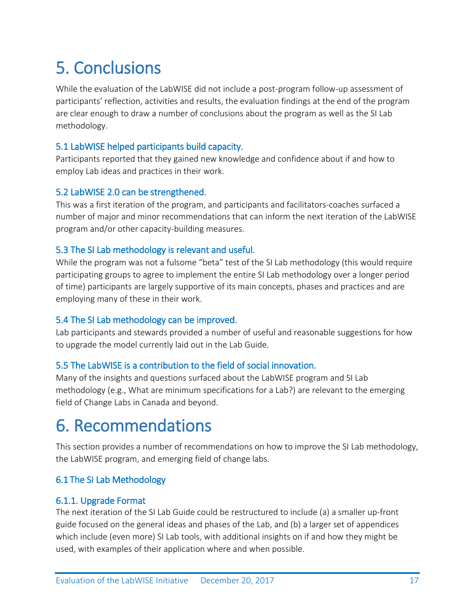<span id="page-17-0"></span>**5. Conclusions**<br>While the evaluation of the LabWISE did not include a post-program follow-up assessment of participants' reflection, activities and results, the evaluation findings at the end of the program are clear enough to draw a number of conclusions about the program as well as the SI Lab methodology.

# <span id="page-17-1"></span>5.1 LabWISE helped participants build capacity.

Participants reported that they gained new knowledge and confidence about if and how to employ Lab ideas and practices in their work.

### <span id="page-17-2"></span>5.2 LabWISE 2.0 can be strengthened.

This was a first iteration of the program, and participants and facilitators-coaches surfaced a number of major and minor recommendations that can inform the next iteration of the LabWISE program and/or other capacity-building measures.

### <span id="page-17-3"></span>5.3 The SI Lab methodology is relevant and useful.

While the program was not a fulsome "beta" test of the SI Lab methodology (this would require participating groups to agree to implement the entire SI Lab methodology over a longer period of time) participants are largely supportive of its main concepts, phases and practices and are employing many of these in their work.

#### <span id="page-17-4"></span>5.4 The SI Lab methodology can be improved.

Lab participants and stewards provided a number of useful and reasonable suggestions for how to upgrade the model currently laid out in the Lab Guide.

# <span id="page-17-5"></span>5.5 The LabWISE is a contribution to the field of social innovation.

Many of the insights and questions surfaced about the LabWISE program and SI Lab methodology (e.g., What are minimum specifications for a Lab?) are relevant to the emerging field of Change Labs in Canada and beyond.

<span id="page-17-6"></span>**6. Recommendations**<br>This section provides a number of recommendations on how to improve the SI Lab methodology, the LabWISE program, and emerging field of change labs.

# <span id="page-17-7"></span>6.1 The SI Lab Methodology

#### <span id="page-17-8"></span>6.1.1. Upgrade Format

The next iteration of the SI Lab Guide could be restructured to include (a) a smaller up-front guide focused on the general ideas and phases of the Lab, and (b) a larger set of appendices which include (even more) SI Lab tools, with additional insights on if and how they might be used, with examples of their application where and when possible.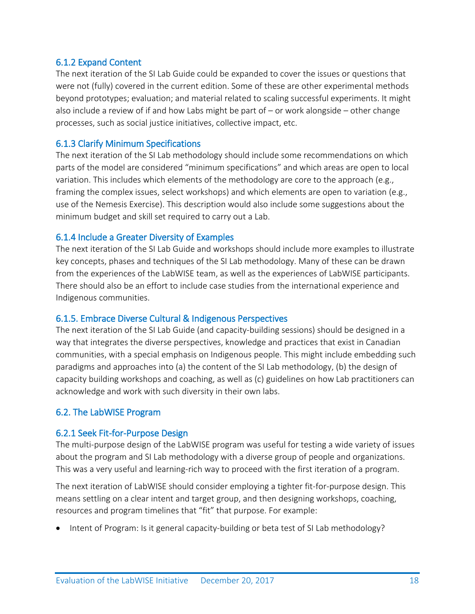#### <span id="page-18-0"></span>6.1.2 Expand Content

The next iteration of the SI Lab Guide could be expanded to cover the issues or questions that were not (fully) covered in the current edition. Some of these are other experimental methods beyond prototypes; evaluation; and material related to scaling successful experiments. It might also include a review of if and how Labs might be part of – or work alongside – other change processes, such as social justice initiatives, collective impact, etc.

#### <span id="page-18-1"></span>6.1.3 Clarify Minimum Specifications

The next iteration of the SI Lab methodology should include some recommendations on which parts of the model are considered "minimum specifications" and which areas are open to local variation. This includes which elements of the methodology are core to the approach (e.g., framing the complex issues, select workshops) and which elements are open to variation (e.g., use of the Nemesis Exercise). This description would also include some suggestions about the minimum budget and skill set required to carry out a Lab.

### <span id="page-18-2"></span>6.1.4 Include a Greater Diversity of Examples

The next iteration of the SI Lab Guide and workshops should include more examples to illustrate key concepts, phases and techniques of the SI Lab methodology. Many of these can be drawn from the experiences of the LabWISE team, as well as the experiences of LabWISE participants. There should also be an effort to include case studies from the international experience and Indigenous communities.

#### <span id="page-18-3"></span>6.1.5. Embrace Diverse Cultural & Indigenous Perspectives

The next iteration of the SI Lab Guide (and capacity-building sessions) should be designed in a way that integrates the diverse perspectives, knowledge and practices that exist in Canadian communities, with a special emphasis on Indigenous people. This might include embedding such paradigms and approaches into (a) the content of the SI Lab methodology, (b) the design of capacity building workshops and coaching, as well as (c) guidelines on how Lab practitioners can acknowledge and work with such diversity in their own labs.

# <span id="page-18-4"></span>6.2. The LabWISE Program

#### <span id="page-18-5"></span>6.2.1 Seek Fit-for-Purpose Design

The multi-purpose design of the LabWISE program was useful for testing a wide variety of issues about the program and SI Lab methodology with a diverse group of people and organizations. This was a very useful and learning-rich way to proceed with the first iteration of a program.

The next iteration of LabWISE should consider employing a tighter fit-for-purpose design. This means settling on a clear intent and target group, and then designing workshops, coaching, resources and program timelines that "fit" that purpose. For example:

• Intent of Program: Is it general capacity-building or beta test of SI Lab methodology?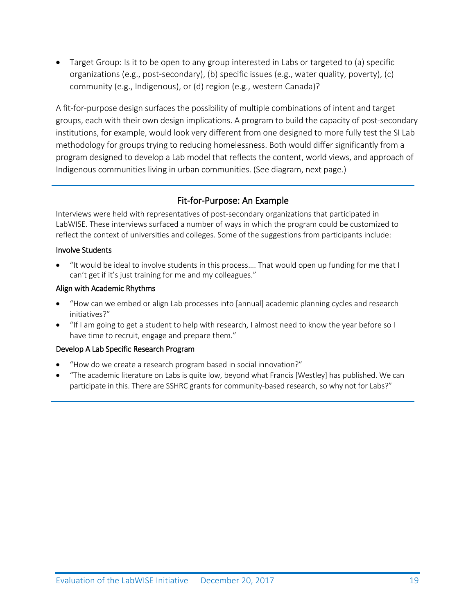• Target Group: Is it to be open to any group interested in Labs or targeted to (a) specific organizations (e.g., post-secondary), (b) specific issues (e.g., water quality, poverty), (c) community (e.g., Indigenous), or (d) region (e.g., western Canada)?

A fit-for-purpose design surfaces the possibility of multiple combinations of intent and target groups, each with their own design implications. A program to build the capacity of post-secondary institutions, for example, would look very different from one designed to more fully test the SI Lab methodology for groups trying to reducing homelessness. Both would differ significantly from a program designed to develop a Lab model that reflects the content, world views, and approach of Indigenous communities living in urban communities. (See diagram, next page.)

# Fit-for-Purpose: An Example

Interviews were held with representatives of post-secondary organizations that participated in LabWISE. These interviews surfaced a number of ways in which the program could be customized to reflect the context of universities and colleges. Some of the suggestions from participants include:

#### Involve Students

• "It would be ideal to involve students in this process…. That would open up funding for me that I can't get if it's just training for me and my colleagues."

#### Align with Academic Rhythms

- "How can we embed or align Lab processes into [annual] academic planning cycles and research initiatives?"
- "If I am going to get a student to help with research, I almost need to know the year before so I have time to recruit, engage and prepare them."

#### Develop A Lab Specific Research Program

- "How do we create a research program based in social innovation?"
- "The academic literature on Labs is quite low, beyond what Francis [Westley] has published. We can participate in this. There are SSHRC grants for community-based research, so why not for Labs?"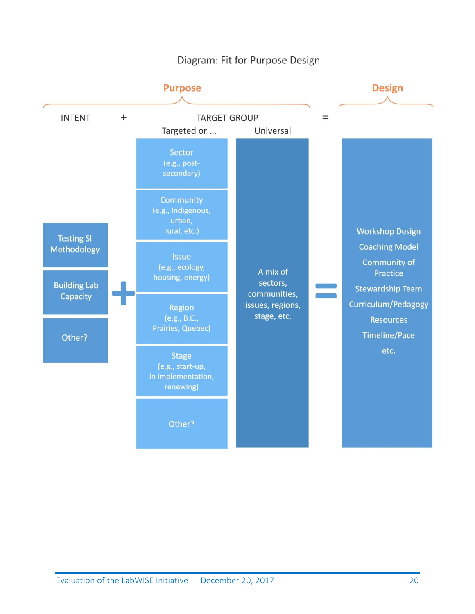# Diagram: Fit for Purpose Design

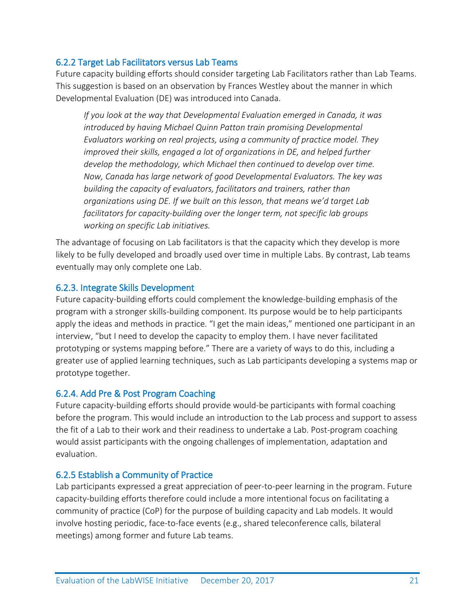### <span id="page-21-0"></span>6.2.2 Target Lab Facilitators versus Lab Teams

Future capacity building efforts should consider targeting Lab Facilitators rather than Lab Teams. This suggestion is based on an observation by Frances Westley about the manner in which Developmental Evaluation (DE) was introduced into Canada.

*If you look at the way that Developmental Evaluation emerged in Canada, it was introduced by having Michael Quinn Patton train promising Developmental Evaluators working on real projects, using a community of practice model. They improved their skills, engaged a lot of organizations in DE, and helped further develop the methodology, which Michael then continued to develop over time. Now, Canada has large network of good Developmental Evaluators. The key was building the capacity of evaluators, facilitators and trainers, rather than organizations using DE. If we built on this lesson, that means we'd target Lab facilitators for capacity-building over the longer term, not specific lab groups working on specific Lab initiatives.*

The advantage of focusing on Lab facilitators is that the capacity which they develop is more likely to be fully developed and broadly used over time in multiple Labs. By contrast, Lab teams eventually may only complete one Lab.

#### <span id="page-21-1"></span>6.2.3. Integrate Skills Development

Future capacity-building efforts could complement the knowledge-building emphasis of the program with a stronger skills-building component. Its purpose would be to help participants apply the ideas and methods in practice. "I get the main ideas," mentioned one participant in an interview, "but I need to develop the capacity to employ them. I have never facilitated prototyping or systems mapping before." There are a variety of ways to do this, including a greater use of applied learning techniques, such as Lab participants developing a systems map or prototype together.

#### <span id="page-21-2"></span>6.2.4. Add Pre & Post Program Coaching

Future capacity-building efforts should provide would-be participants with formal coaching before the program. This would include an introduction to the Lab process and support to assess the fit of a Lab to their work and their readiness to undertake a Lab. Post-program coaching would assist participants with the ongoing challenges of implementation, adaptation and evaluation.

#### <span id="page-21-3"></span>6.2.5 Establish a Community of Practice

Lab participants expressed a great appreciation of peer-to-peer learning in the program. Future capacity-building efforts therefore could include a more intentional focus on facilitating a community of practice (CoP) for the purpose of building capacity and Lab models. It would involve hosting periodic, face-to-face events (e.g., shared teleconference calls, bilateral meetings) among former and future Lab teams.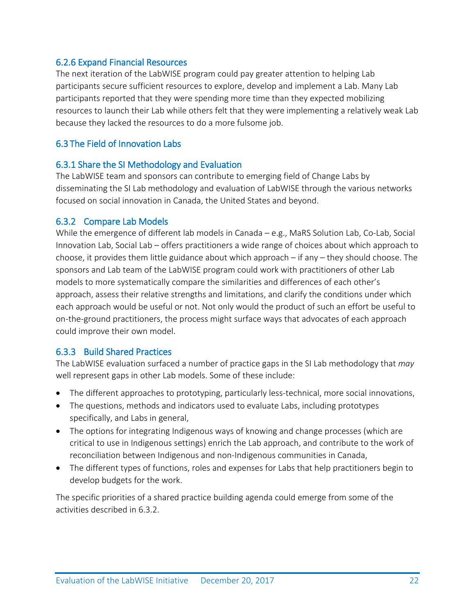### <span id="page-22-0"></span>6.2.6 Expand Financial Resources

The next iteration of the LabWISE program could pay greater attention to helping Lab participants secure sufficient resources to explore, develop and implement a Lab. Many Lab participants reported that they were spending more time than they expected mobilizing resources to launch their Lab while others felt that they were implementing a relatively weak Lab because they lacked the resources to do a more fulsome job.

# <span id="page-22-1"></span>6.3 The Field of Innovation Labs

### <span id="page-22-2"></span>6.3.1 Share the SI Methodology and Evaluation

The LabWISE team and sponsors can contribute to emerging field of Change Labs by disseminating the SI Lab methodology and evaluation of LabWISE through the various networks focused on social innovation in Canada, the United States and beyond.

### <span id="page-22-3"></span>6.3.2 Compare Lab Models

While the emergence of different lab models in Canada – e.g., MaRS Solution Lab, Co-Lab, Social Innovation Lab, Social Lab – offers practitioners a wide range of choices about which approach to choose, it provides them little guidance about which approach  $-$  if any  $-$  they should choose. The sponsors and Lab team of the LabWISE program could work with practitioners of other Lab models to more systematically compare the similarities and differences of each other's approach, assess their relative strengths and limitations, and clarify the conditions under which each approach would be useful or not. Not only would the product of such an effort be useful to on-the-ground practitioners, the process might surface ways that advocates of each approach could improve their own model.

# <span id="page-22-4"></span>6.3.3 Build Shared Practices

The LabWISE evaluation surfaced a number of practice gaps in the SI Lab methodology that *may* well represent gaps in other Lab models. Some of these include:

- The different approaches to prototyping, particularly less-technical, more social innovations,
- The questions, methods and indicators used to evaluate Labs, including prototypes specifically, and Labs in general,
- The options for integrating Indigenous ways of knowing and change processes (which are critical to use in Indigenous settings) enrich the Lab approach, and contribute to the work of reconciliation between Indigenous and non-Indigenous communities in Canada,
- The different types of functions, roles and expenses for Labs that help practitioners begin to develop budgets for the work.

The specific priorities of a shared practice building agenda could emerge from some of the activities described in 6.3.2.